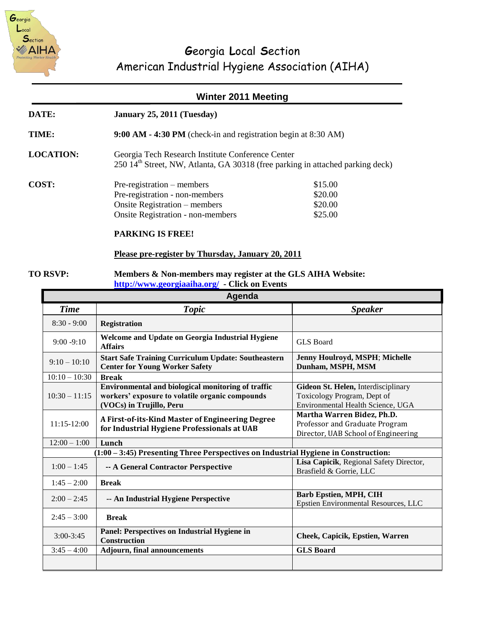

# **G**eorgia **L**ocal **S**ection American Industrial Hygiene Association (AIHA)

### **Winter 2011 Meeting**

| <b>DATE:</b> | January 25, 2011 (Tuesday) |
|--------------|----------------------------|
|--------------|----------------------------|

**TIME: 9:00 AM - 4:30 PM** (check-in and registration begin at 8:30 AM)

**LOCATION:** Georgia Tech Research Institute Conference Center  $250$  14<sup>th</sup> Street, NW, Atlanta, GA 30318 (free parking in attached parking deck)

| COST: | $Pre-registration - members$             | \$15.00 |
|-------|------------------------------------------|---------|
|       | Pre-registration - non-members           | \$20.00 |
|       | Onsite Registration – members            | \$20.00 |
|       | <b>Onsite Registration - non-members</b> | \$25.00 |
|       |                                          |         |

#### **PARKING IS FREE!**

#### **Please pre-register by Thursday, January 20, 2011**

#### **TO RSVP: Members & Non-members may register at the GLS AIHA Website: <http://www.georgiaaiha.org/>- Click on Events**

| Agenda                                                                               |                                                                                                                                   |                                                                                                         |  |  |
|--------------------------------------------------------------------------------------|-----------------------------------------------------------------------------------------------------------------------------------|---------------------------------------------------------------------------------------------------------|--|--|
| <b>Time</b>                                                                          | <b>Topic</b>                                                                                                                      | <b>Speaker</b>                                                                                          |  |  |
| $8:30 - 9:00$                                                                        | <b>Registration</b>                                                                                                               |                                                                                                         |  |  |
| $9:00 - 9:10$                                                                        | Welcome and Update on Georgia Industrial Hygiene<br><b>Affairs</b>                                                                | <b>GLS</b> Board                                                                                        |  |  |
| $9:10-10:10$                                                                         | <b>Start Safe Training Curriculum Update: Southeastern</b><br><b>Center for Young Worker Safety</b>                               | Jenny Houlroyd, MSPH; Michelle<br>Dunham, MSPH, MSM                                                     |  |  |
| $10:10 - 10:30$                                                                      | <b>Break</b>                                                                                                                      |                                                                                                         |  |  |
| $10:30 - 11:15$                                                                      | Environmental and biological monitoring of traffic<br>workers' exposure to volatile organic compounds<br>(VOCs) in Trujillo, Peru | Gideon St. Helen, Interdisciplinary<br>Toxicology Program, Dept of<br>Environmental Health Science, UGA |  |  |
| $11:15-12:00$                                                                        | A First-of-its-Kind Master of Engineering Degree<br>for Industrial Hygiene Professionals at UAB                                   | Martha Warren Bidez, Ph.D.<br>Professor and Graduate Program<br>Director, UAB School of Engineering     |  |  |
| $12:00 - 1:00$                                                                       | Lunch                                                                                                                             |                                                                                                         |  |  |
| $(1:00 - 3:45)$ Presenting Three Perspectives on Industrial Hygiene in Construction: |                                                                                                                                   |                                                                                                         |  |  |
| $1:00 - 1:45$                                                                        | -- A General Contractor Perspective                                                                                               | Lisa Capicik, Regional Safety Director,<br>Brasfield & Gorrie, LLC                                      |  |  |
| $1:45 - 2:00$                                                                        | <b>Break</b>                                                                                                                      |                                                                                                         |  |  |
| $2:00 - 2:45$                                                                        | -- An Industrial Hygiene Perspective                                                                                              | <b>Barb Epstien, MPH, CIH</b><br>Epstien Environmental Resources, LLC                                   |  |  |
| $2:45 - 3:00$                                                                        | <b>Break</b>                                                                                                                      |                                                                                                         |  |  |
| $3:00 - 3:45$                                                                        | Panel: Perspectives on Industrial Hygiene in<br><b>Construction</b>                                                               | Cheek, Capicik, Epstien, Warren                                                                         |  |  |
| $3:45 - 4:00$                                                                        | <b>Adjourn, final announcements</b>                                                                                               | <b>GLS</b> Board                                                                                        |  |  |
|                                                                                      |                                                                                                                                   |                                                                                                         |  |  |